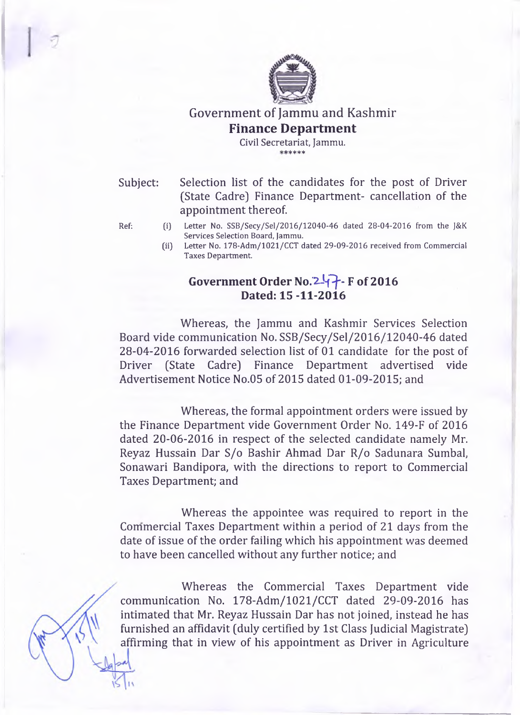

**Government of Jammu and Kashmir Finance Department**

> **Civil Secretariat, Jammu.** sfc sfc sfc sfc sfc

Subject: Selection list of the candidates for the post of Driver (State Cadre] Finance Department- cancellation of the appointment thereof.

- **Ref: (i) Letter No. SSB/Secy/Sel/2016/12040-46 dated 28-04-2016 from the J&K Services Selection Board, Jammu.**
	- **(ii) Letter No. 178-Adm/1021/CCT dated 29-09-2016 received from Commercial Taxes Department.**

## Government Order No. 247 - F of 2016 **Dated: 15 -11-2016**

Whereas, the Jammu and Kashmir Services Selection Board vide communication No. SSB/Secy/Sel/2016/12040-46 dated 28-04-2016 forwarded selection list of 01 candidate for the post of Driver (State Cadre] Finance Department advertised vide Advertisement Notice No.05 of 2015 dated 01-09-2015; and

Whereas, the formal appointment orders were issued by the Finance Department vide Government Order No. 149-F of 2016 dated 20-06-2016 in respect of the selected candidate namely Mr. Reyaz Hussain Dar S/o Bashir Ahmad Dar R/o Sadunara Sumbal, Sonawari Bandipora, with the directions to report to Commercial Taxes Department; and

Whereas the appointee was required to report in the Commercial Taxes Department within a period of 21 days from the date of issue of the order failing which his appointment was deemed to have been cancelled without any further notice; and

Whereas the Commercial Taxes Department vide communication No. 178-Adm/1021/CCT dated 29-09-2016 has intimated that Mr. Reyaz Hussain Dar has not joined, instead he has furnished an affidavit (duly certified by 1st Class Judicial Magistrate] affirming that in view of his appointment as Driver in Agriculture